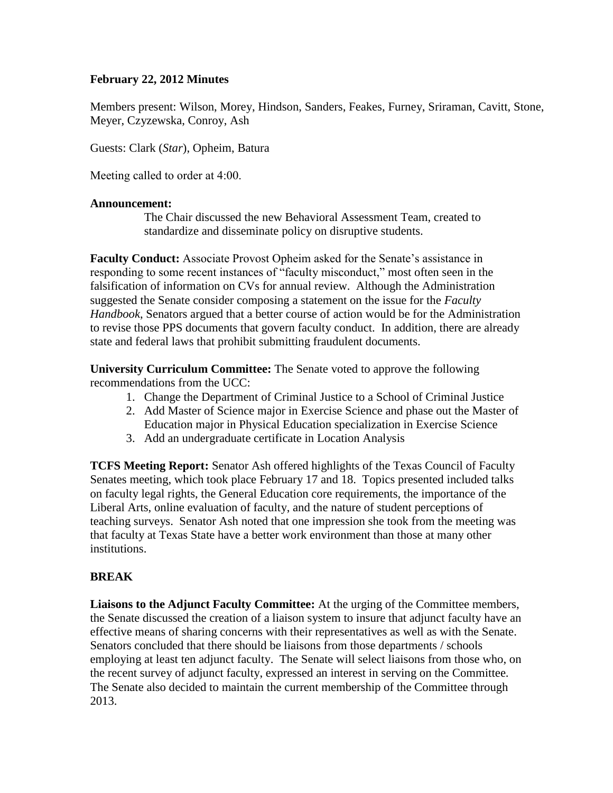## **February 22, 2012 Minutes**

Members present: Wilson, Morey, Hindson, Sanders, Feakes, Furney, Sriraman, Cavitt, Stone, Meyer, Czyzewska, Conroy, Ash

Guests: Clark (*Star*), Opheim, Batura

Meeting called to order at 4:00.

### **Announcement:**

The Chair discussed the new Behavioral Assessment Team, created to standardize and disseminate policy on disruptive students.

**Faculty Conduct:** Associate Provost Opheim asked for the Senate's assistance in responding to some recent instances of "faculty misconduct," most often seen in the falsification of information on CVs for annual review. Although the Administration suggested the Senate consider composing a statement on the issue for the *Faculty Handbook*, Senators argued that a better course of action would be for the Administration to revise those PPS documents that govern faculty conduct. In addition, there are already state and federal laws that prohibit submitting fraudulent documents.

**University Curriculum Committee:** The Senate voted to approve the following recommendations from the UCC:

- 1. Change the Department of Criminal Justice to a School of Criminal Justice
- 2. Add Master of Science major in Exercise Science and phase out the Master of Education major in Physical Education specialization in Exercise Science
- 3. Add an undergraduate certificate in Location Analysis

**TCFS Meeting Report:** Senator Ash offered highlights of the Texas Council of Faculty Senates meeting, which took place February 17 and 18. Topics presented included talks on faculty legal rights, the General Education core requirements, the importance of the Liberal Arts, online evaluation of faculty, and the nature of student perceptions of teaching surveys. Senator Ash noted that one impression she took from the meeting was that faculty at Texas State have a better work environment than those at many other institutions.

# **BREAK**

**Liaisons to the Adjunct Faculty Committee:** At the urging of the Committee members, the Senate discussed the creation of a liaison system to insure that adjunct faculty have an effective means of sharing concerns with their representatives as well as with the Senate. Senators concluded that there should be liaisons from those departments / schools employing at least ten adjunct faculty. The Senate will select liaisons from those who, on the recent survey of adjunct faculty, expressed an interest in serving on the Committee. The Senate also decided to maintain the current membership of the Committee through 2013.